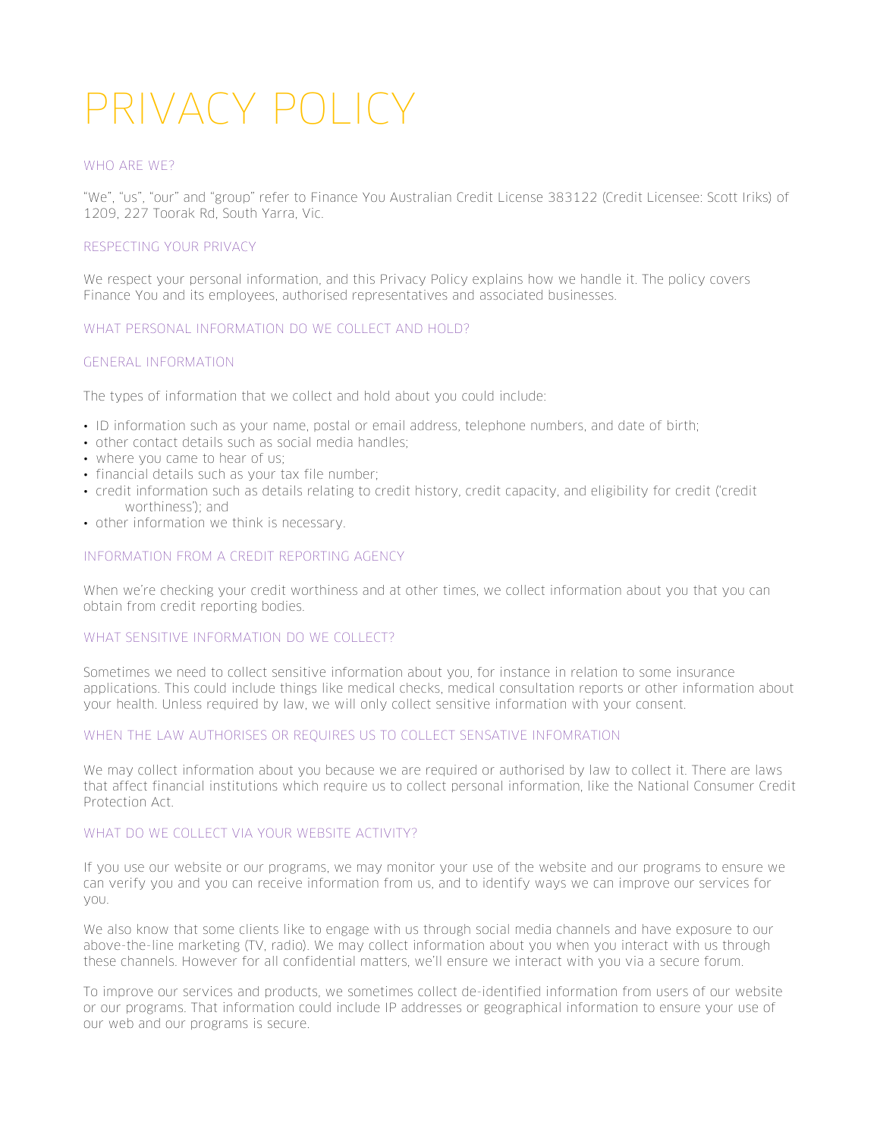# PRIVACY POLICY

# WHO ARE WE?

"We", "us", "our" and "group" refer to Finance You Australian Credit License 383122 (Credit Licensee: Scott Iriks) of 1209, 227 Toorak Rd, South Yarra, Vic.

## RESPECTING YOUR PRIVACY

We respect your personal information, and this Privacy Policy explains how we handle it. The policy covers Finance You and its employees, authorised representatives and associated businesses.

# WHAT PERSONAL INFORMATION DO WE COLLECT AND HOLD?

#### GENERAL INFORMATION

The types of information that we collect and hold about you could include:

- ID information such as your name, postal or email address, telephone numbers, and date of birth;
- other contact details such as social media handles;
- where you came to hear of us;
- financial details such as your tax file number;
- credit information such as details relating to credit history, credit capacity, and eligibility for credit ('credit worthiness'); and
- other information we think is necessary.

### INFORMATION FROM A CREDIT REPORTING AGENCY

When we're checking your credit worthiness and at other times, we collect information about you that you can obtain from credit reporting bodies.

## WHAT SENSITIVE INFORMATION DO WE COLLECT?

Sometimes we need to collect sensitive information about you, for instance in relation to some insurance applications. This could include things like medical checks, medical consultation reports or other information about your health. Unless required by law, we will only collect sensitive information with your consent.

# WHEN THE LAW AUTHORISES OR REQUIRES US TO COLLECT SENSATIVE INFOMRATION

We may collect information about you because we are required or authorised by law to collect it. There are laws that affect financial institutions which require us to collect personal information, like the National Consumer Credit Protection Act.

# WHAT DO WE COLLECT VIA YOUR WEBSITE ACTIVITY?

If you use our website or our programs, we may monitor your use of the website and our programs to ensure we can verify you and you can receive information from us, and to identify ways we can improve our services for you.

We also know that some clients like to engage with us through social media channels and have exposure to our above-the-line marketing (TV, radio). We may collect information about you when you interact with us through these channels. However for all confidential matters, we'll ensure we interact with you via a secure forum.

To improve our services and products, we sometimes collect de-identified information from users of our website or our programs. That information could include IP addresses or geographical information to ensure your use of our web and our programs is secure.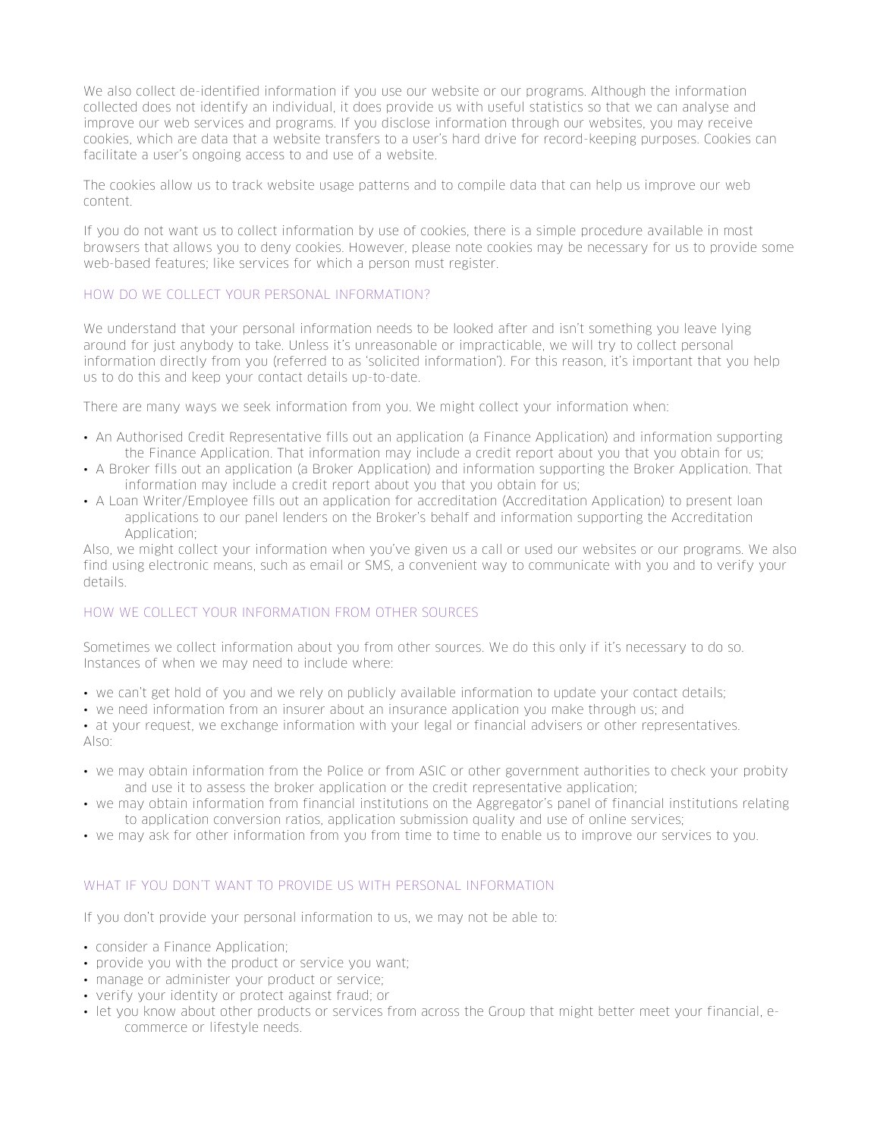We also collect de-identified information if you use our website or our programs. Although the information collected does not identify an individual, it does provide us with useful statistics so that we can analyse and improve our web services and programs. If you disclose information through our websites, you may receive cookies, which are data that a website transfers to a user's hard drive for record-keeping purposes. Cookies can facilitate a user's ongoing access to and use of a website.

The cookies allow us to track website usage patterns and to compile data that can help us improve our web content.

If you do not want us to collect information by use of cookies, there is a simple procedure available in most browsers that allows you to deny cookies. However, please note cookies may be necessary for us to provide some web-based features; like services for which a person must register.

# HOW DO WE COLLECT YOUR PERSONAL INFORMATION?

We understand that your personal information needs to be looked after and isn't something you leave lying around for just anybody to take. Unless it's unreasonable or impracticable, we will try to collect personal information directly from you (referred to as 'solicited information'). For this reason, it's important that you help us to do this and keep your contact details up-to-date.

There are many ways we seek information from you. We might collect your information when:

- An Authorised Credit Representative fills out an application (a Finance Application) and information supporting the Finance Application. That information may include a credit report about you that you obtain for us;
- A Broker fills out an application (a Broker Application) and information supporting the Broker Application. That information may include a credit report about you that you obtain for us;
- A Loan Writer/Employee fills out an application for accreditation (Accreditation Application) to present loan applications to our panel lenders on the Broker's behalf and information supporting the Accreditation Application;

Also, we might collect your information when you've given us a call or used our websites or our programs. We also find using electronic means, such as email or SMS, a convenient way to communicate with you and to verify your details.

# HOW WE COLLECT YOUR INFORMATION FROM OTHER SOURCES

Sometimes we collect information about you from other sources. We do this only if it's necessary to do so. Instances of when we may need to include where:

- we can't get hold of you and we rely on publicly available information to update your contact details;
- we need information from an insurer about an insurance application you make through us; and

• at your request, we exchange information with your legal or financial advisers or other representatives. Also:

- we may obtain information from the Police or from ASIC or other government authorities to check your probity and use it to assess the broker application or the credit representative application;
- we may obtain information from financial institutions on the Aggregator's panel of financial institutions relating to application conversion ratios, application submission quality and use of online services;
- we may ask for other information from you from time to time to enable us to improve our services to you.

# WHAT IF YOU DON'T WANT TO PROVIDE US WITH PERSONAL INFORMATION

If you don't provide your personal information to us, we may not be able to:

- consider a Finance Application;
- provide you with the product or service you want;
- manage or administer your product or service;
- verify your identity or protect against fraud; or
- let you know about other products or services from across the Group that might better meet your financial, ecommerce or lifestyle needs.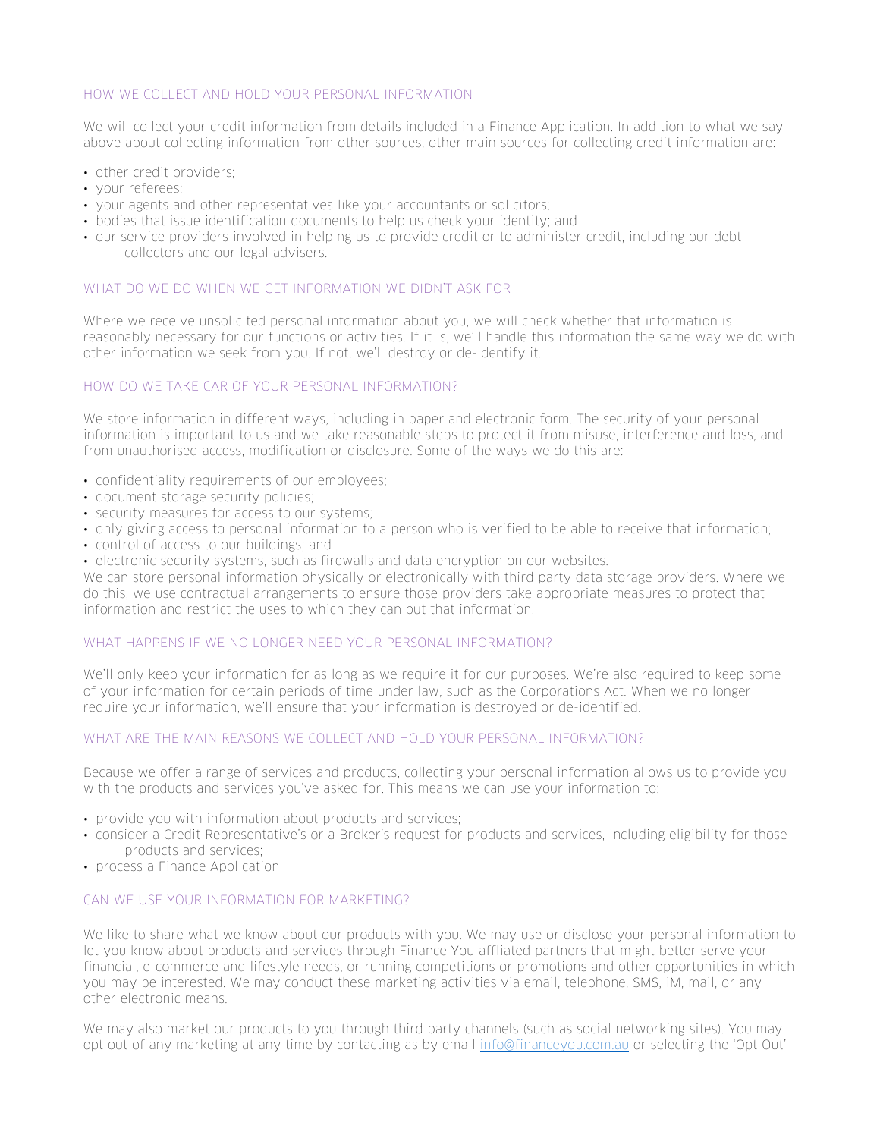# HOW WE COLLECT AND HOLD YOUR PERSONAL INFORMATION

We will collect your credit information from details included in a Finance Application. In addition to what we say above about collecting information from other sources, other main sources for collecting credit information are:

- other credit providers;
- your referees;
- your agents and other representatives like your accountants or solicitors;
- bodies that issue identification documents to help us check your identity; and
- our service providers involved in helping us to provide credit or to administer credit, including our debt collectors and our legal advisers.

### WHAT DO WE DO WHEN WE GET INFORMATION WE DIDN'T ASK FOR

Where we receive unsolicited personal information about you, we will check whether that information is reasonably necessary for our functions or activities. If it is, we'll handle this information the same way we do with other information we seek from you. If not, we'll destroy or de-identify it.

## HOW DO WE TAKE CAR OF YOUR PERSONAL INFORMATION?

We store information in different ways, including in paper and electronic form. The security of your personal information is important to us and we take reasonable steps to protect it from misuse, interference and loss, and from unauthorised access, modification or disclosure. Some of the ways we do this are:

- confidentiality requirements of our employees;
- document storage security policies;
- security measures for access to our systems;
- only giving access to personal information to a person who is verified to be able to receive that information;
- control of access to our buildings; and
- electronic security systems, such as firewalls and data encryption on our websites.

We can store personal information physically or electronically with third party data storage providers. Where we do this, we use contractual arrangements to ensure those providers take appropriate measures to protect that information and restrict the uses to which they can put that information.

#### WHAT HAPPENS IF WE NO LONGER NEED YOUR PERSONAL INFORMATION?

We'll only keep your information for as long as we require it for our purposes. We're also required to keep some of your information for certain periods of time under law, such as the Corporations Act. When we no longer require your information, we'll ensure that your information is destroyed or de-identified.

# WHAT ARE THE MAIN REASONS WE COLLECT AND HOLD YOUR PERSONAL INFORMATION?

Because we offer a range of services and products, collecting your personal information allows us to provide you with the products and services you've asked for. This means we can use your information to:

- provide you with information about products and services;
- consider a Credit Representative's or a Broker's request for products and services, including eligibility for those products and services;
- process a Finance Application

# CAN WE USE YOUR INFORMATION FOR MARKETING?

We like to share what we know about our products with you. We may use or disclose your personal information to let you know about products and services through Finance You affliated partners that might better serve your financial, e-commerce and lifestyle needs, or running competitions or promotions and other opportunities in which you may be interested. We may conduct these marketing activities via email, telephone, SMS, iM, mail, or any other electronic means.

We may also market our products to you through third party channels (such as social networking sites). You may opt out of any marketing at any time by contacting as by email info@financeyou.com.au or selecting the 'Opt Out'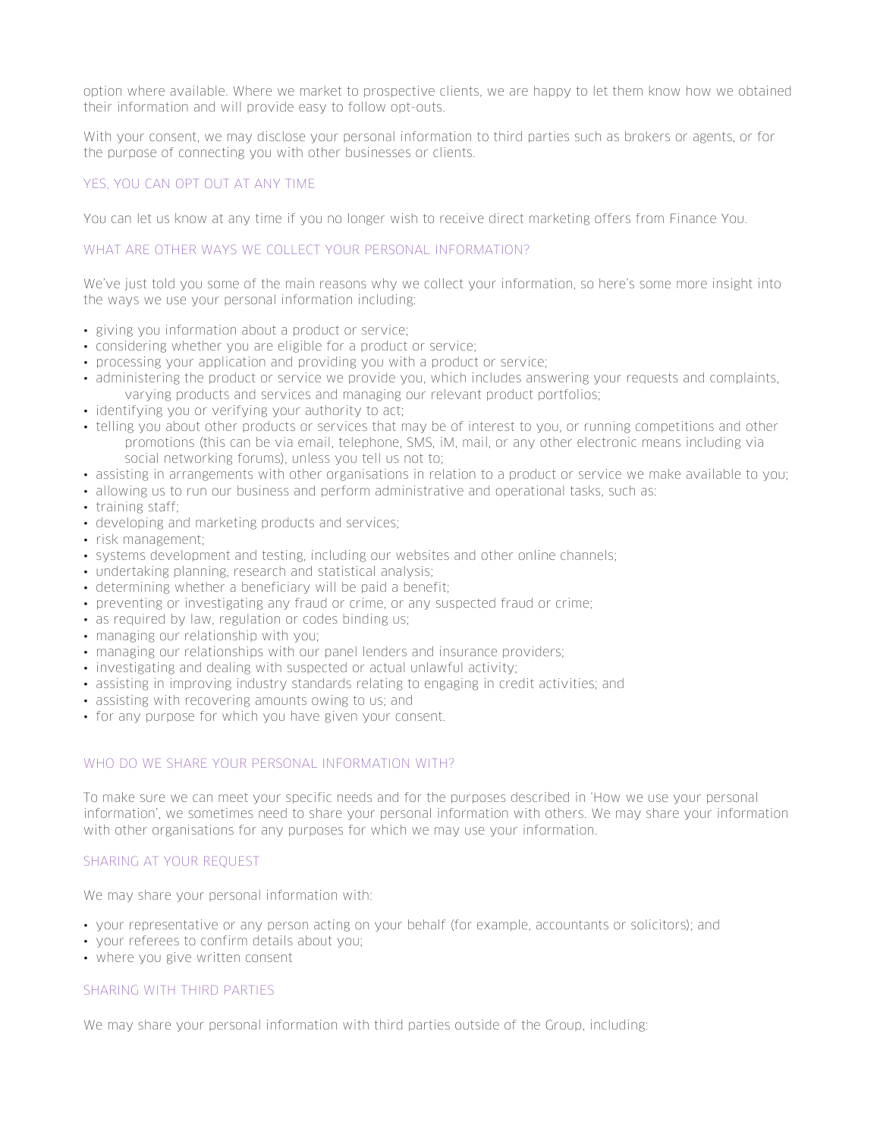option where available. Where we market to prospective clients, we are happy to let them know how we obtained their information and will provide easy to follow opt-outs.

With your consent, we may disclose your personal information to third parties such as brokers or agents, or for the purpose of connecting you with other businesses or clients.

# YES, YOU CAN OPT OUT AT ANY TIME

You can let us know at any time if you no longer wish to receive direct marketing offers from Finance You.

# WHAT ARE OTHER WAYS WE COLLECT YOUR PERSONAL INFORMATION?

We've just told you some of the main reasons why we collect your information, so here's some more insight into the ways we use your personal information including:

- giving you information about a product or service;
- considering whether you are eligible for a product or service;
- processing your application and providing you with a product or service;
- administering the product or service we provide you, which includes answering your requests and complaints, varying products and services and managing our relevant product portfolios;
- identifying you or verifying your authority to act;
- telling you about other products or services that may be of interest to you, or running competitions and other promotions (this can be via email, telephone, SMS, iM, mail, or any other electronic means including via social networking forums), unless you tell us not to;
- assisting in arrangements with other organisations in relation to a product or service we make available to you;
- allowing us to run our business and perform administrative and operational tasks, such as:
- training staff;
- developing and marketing products and services;
- risk management;
- systems development and testing, including our websites and other online channels;
- undertaking planning, research and statistical analysis;
- determining whether a beneficiary will be paid a benefit;
- preventing or investigating any fraud or crime, or any suspected fraud or crime;
- as required by law, regulation or codes binding us;
- managing our relationship with you;
- managing our relationships with our panel lenders and insurance providers;
- investigating and dealing with suspected or actual unlawful activity;
- assisting in improving industry standards relating to engaging in credit activities; and
- assisting with recovering amounts owing to us; and
- for any purpose for which you have given your consent.

# WHO DO WE SHARE YOUR PERSONAL INFORMATION WITH?

To make sure we can meet your specific needs and for the purposes described in 'How we use your personal information', we sometimes need to share your personal information with others. We may share your information with other organisations for any purposes for which we may use your information.

# SHARING AT YOUR REQUEST

We may share your personal information with:

- your representative or any person acting on your behalf (for example, accountants or solicitors); and
- your referees to confirm details about you;
- where you give written consent

# SHARING WITH THIRD PARTIES

We may share your personal information with third parties outside of the Group, including: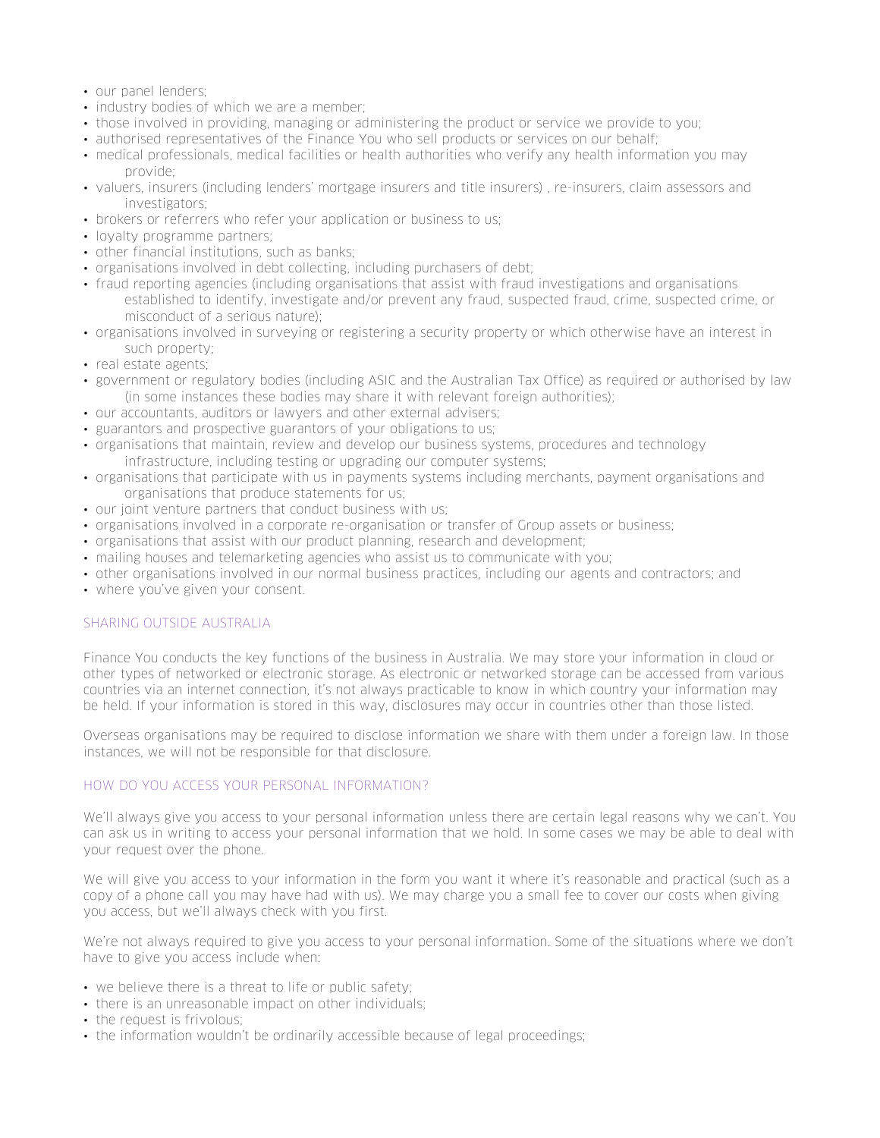- our panel lenders;
- industry bodies of which we are a member;
- those involved in providing, managing or administering the product or service we provide to you;
- authorised representatives of the Finance You who sell products or services on our behalf;
- medical professionals, medical facilities or health authorities who verify any health information you may provide;
- valuers, insurers (including lenders' mortgage insurers and title insurers) , re-insurers, claim assessors and investigators;
- brokers or referrers who refer your application or business to us;
- loyalty programme partners;
- other financial institutions, such as banks;
- organisations involved in debt collecting, including purchasers of debt;
- fraud reporting agencies (including organisations that assist with fraud investigations and organisations established to identify, investigate and/or prevent any fraud, suspected fraud, crime, suspected crime, or misconduct of a serious nature);
- organisations involved in surveying or registering a security property or which otherwise have an interest in such property;
- real estate agents;
- government or regulatory bodies (including ASIC and the Australian Tax Office) as required or authorised by law (in some instances these bodies may share it with relevant foreign authorities);
- our accountants, auditors or lawyers and other external advisers;
- guarantors and prospective guarantors of your obligations to us;
- organisations that maintain, review and develop our business systems, procedures and technology infrastructure, including testing or upgrading our computer systems;
- organisations that participate with us in payments systems including merchants, payment organisations and organisations that produce statements for us;
- our joint venture partners that conduct business with us;
- organisations involved in a corporate re-organisation or transfer of Group assets or business;
- organisations that assist with our product planning, research and development;
- mailing houses and telemarketing agencies who assist us to communicate with you;
- other organisations involved in our normal business practices, including our agents and contractors; and
- where you've given your consent.

# SHARING OUTSIDE AUSTRALIA

Finance You conducts the key functions of the business in Australia. We may store your information in cloud or other types of networked or electronic storage. As electronic or networked storage can be accessed from various countries via an internet connection, it's not always practicable to know in which country your information may be held. If your information is stored in this way, disclosures may occur in countries other than those listed.

Overseas organisations may be required to disclose information we share with them under a foreign law. In those instances, we will not be responsible for that disclosure.

# HOW DO YOU ACCESS YOUR PERSONAL INFORMATION?

We'll always give you access to your personal information unless there are certain legal reasons why we can't. You can ask us in writing to access your personal information that we hold. In some cases we may be able to deal with your request over the phone.

We will give you access to your information in the form you want it where it's reasonable and practical (such as a copy of a phone call you may have had with us). We may charge you a small fee to cover our costs when giving you access, but we'll always check with you first.

We're not always required to give you access to your personal information. Some of the situations where we don't have to give you access include when:

- we believe there is a threat to life or public safety;
- there is an unreasonable impact on other individuals;
- the request is frivolous;
- the information wouldn't be ordinarily accessible because of legal proceedings;